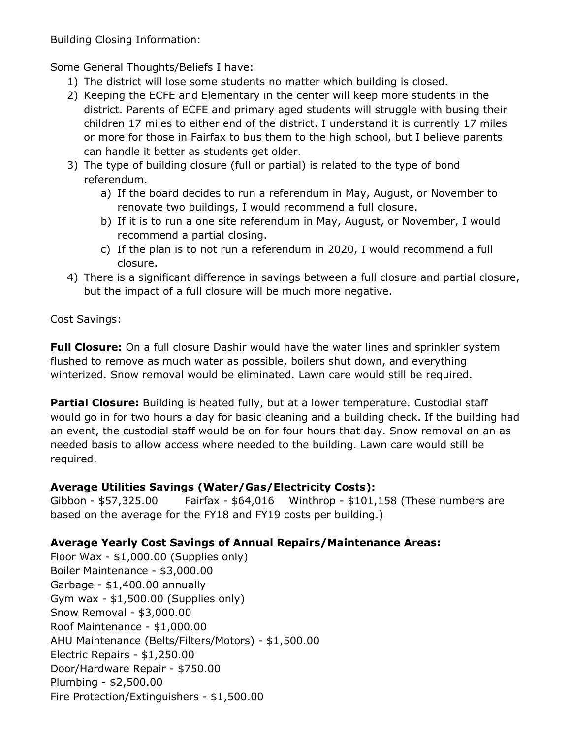Building Closing Information:

Some General Thoughts/Beliefs I have:

- 1) The district will lose some students no matter which building is closed.
- 2) Keeping the ECFE and Elementary in the center will keep more students in the district. Parents of ECFE and primary aged students will struggle with busing their children 17 miles to either end of the district. I understand it is currently 17 miles or more for those in Fairfax to bus them to the high school, but I believe parents can handle it better as students get older.
- 3) The type of building closure (full or partial) is related to the type of bond referendum.
	- a) If the board decides to run a referendum in May, August, or November to renovate two buildings, I would recommend a full closure.
	- b) If it is to run a one site referendum in May, August, or November, I would recommend a partial closing.
	- c) If the plan is to not run a referendum in 2020, I would recommend a full closure.
- 4) There is a significant difference in savings between a full closure and partial closure, but the impact of a full closure will be much more negative.

Cost Savings:

**Full Closure:** On a full closure Dashir would have the water lines and sprinkler system flushed to remove as much water as possible, boilers shut down, and everything winterized. Snow removal would be eliminated. Lawn care would still be required.

**Partial Closure:** Building is heated fully, but at a lower temperature. Custodial staff would go in for two hours a day for basic cleaning and a building check. If the building had an event, the custodial staff would be on for four hours that day. Snow removal on an as needed basis to allow access where needed to the building. Lawn care would still be required.

## **Average Utilities Savings (Water/Gas/Electricity Costs):**

Gibbon - \$57,325.00 Fairfax - \$64,016 Winthrop - \$101,158 (These numbers are based on the average for the FY18 and FY19 costs per building.)

## **Average Yearly Cost Savings of Annual Repairs/Maintenance Areas:**

Floor Wax - \$1,000.00 (Supplies only) Boiler Maintenance - \$3,000.00 Garbage - \$1,400.00 annually Gym wax - \$1,500.00 (Supplies only) Snow Removal - \$3,000.00 Roof Maintenance - \$1,000.00 AHU Maintenance (Belts/Filters/Motors) - \$1,500.00 Electric Repairs - \$1,250.00 Door/Hardware Repair - \$750.00 Plumbing - \$2,500.00 Fire Protection/Extinguishers - \$1,500.00